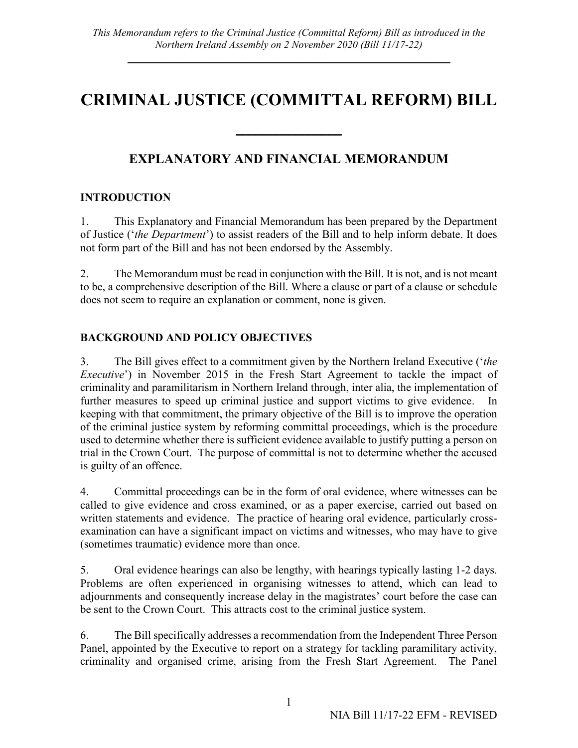# **CRIMINAL JUSTICE (COMMITTAL REFORM) BILL**

 $\overline{\phantom{a}}$  , where  $\overline{\phantom{a}}$ 

# **EXPLANATORY AND FINANCIAL MEMORANDUM**

## **INTRODUCTION**

1. This Explanatory and Financial Memorandum has been prepared by the Department of Justice ('*the Department*') to assist readers of the Bill and to help inform debate. It does not form part of the Bill and has not been endorsed by the Assembly.

2. The Memorandum must be read in conjunction with the Bill. It is not, and is not meant to be, a comprehensive description of the Bill. Where a clause or part of a clause or schedule does not seem to require an explanation or comment, none is given.

# **BACKGROUND AND POLICY OBJECTIVES**

3. The Bill gives effect to a commitment given by the Northern Ireland Executive ('*the Executive*') in November 2015 in the Fresh Start Agreement to tackle the impact of criminality and paramilitarism in Northern Ireland through, inter alia, the implementation of further measures to speed up criminal justice and support victims to give evidence. In keeping with that commitment, the primary objective of the Bill is to improve the operation of the criminal justice system by reforming committal proceedings, which is the procedure used to determine whether there is sufficient evidence available to justify putting a person on trial in the Crown Court. The purpose of committal is not to determine whether the accused is guilty of an offence.

4. Committal proceedings can be in the form of oral evidence, where witnesses can be called to give evidence and cross examined, or as a paper exercise, carried out based on written statements and evidence. The practice of hearing oral evidence, particularly crossexamination can have a significant impact on victims and witnesses, who may have to give (sometimes traumatic) evidence more than once.

5. Oral evidence hearings can also be lengthy, with hearings typically lasting 1-2 days. Problems are often experienced in organising witnesses to attend, which can lead to adjournments and consequently increase delay in the magistrates' court before the case can be sent to the Crown Court. This attracts cost to the criminal justice system.

6. The Bill specifically addresses a recommendation from the Independent Three Person Panel, appointed by the Executive to report on a strategy for tackling paramilitary activity, criminality and organised crime, arising from the Fresh Start Agreement. The Panel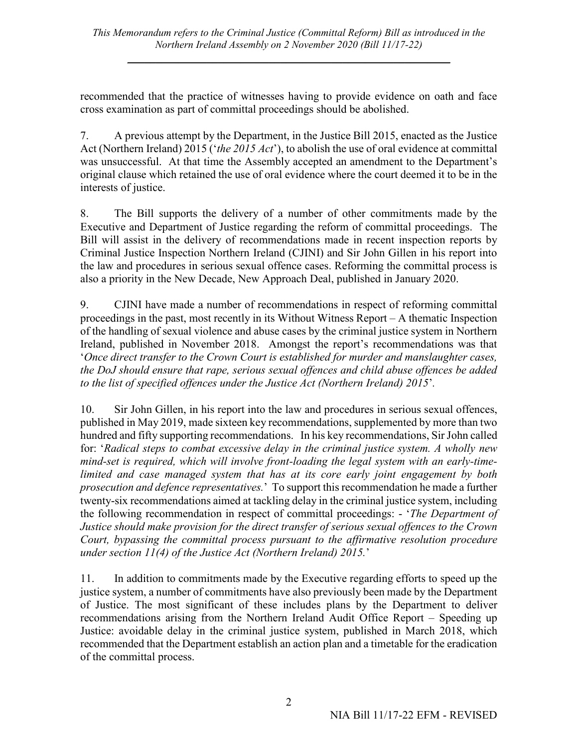recommended that the practice of witnesses having to provide evidence on oath and face cross examination as part of committal proceedings should be abolished.

7. A previous attempt by the Department, in the Justice Bill 2015, enacted as the Justice Act (Northern Ireland) 2015 ('*the 2015 Act*'), to abolish the use of oral evidence at committal was unsuccessful. At that time the Assembly accepted an amendment to the Department's original clause which retained the use of oral evidence where the court deemed it to be in the interests of justice.

8. The Bill supports the delivery of a number of other commitments made by the Executive and Department of Justice regarding the reform of committal proceedings. The Bill will assist in the delivery of recommendations made in recent inspection reports by Criminal Justice Inspection Northern Ireland (CJINI) and Sir John Gillen in his report into the law and procedures in serious sexual offence cases. Reforming the committal process is also a priority in the New Decade, New Approach Deal, published in January 2020.

9. CJINI have made a number of recommendations in respect of reforming committal proceedings in the past, most recently in its Without Witness Report – A thematic Inspection of the handling of sexual violence and abuse cases by the criminal justice system in Northern Ireland, published in November 2018. Amongst the report's recommendations was that '*Once direct transfer to the Crown Court is established for murder and manslaughter cases, the DoJ should ensure that rape, serious sexual offences and child abuse offences be added to the list of specified offences under the Justice Act (Northern Ireland) 2015*'*.*

10. Sir John Gillen, in his report into the law and procedures in serious sexual offences, published in May 2019, made sixteen key recommendations, supplemented by more than two hundred and fifty supporting recommendations. In his key recommendations, Sir John called for: '*Radical steps to combat excessive delay in the criminal justice system. A wholly new mind-set is required, which will involve front-loading the legal system with an early-timelimited and case managed system that has at its core early joint engagement by both prosecution and defence representatives.*' To support this recommendation he made a further twenty-six recommendations aimed at tackling delay in the criminal justice system, including the following recommendation in respect of committal proceedings: - '*The Department of Justice should make provision for the direct transfer of serious sexual offences to the Crown Court, bypassing the committal process pursuant to the affirmative resolution procedure under section 11(4) of the Justice Act (Northern Ireland) 2015.*'

11. In addition to commitments made by the Executive regarding efforts to speed up the justice system, a number of commitments have also previously been made by the Department of Justice. The most significant of these includes plans by the Department to deliver recommendations arising from the Northern Ireland Audit Office Report – Speeding up Justice: avoidable delay in the criminal justice system, published in March 2018, which recommended that the Department establish an action plan and a timetable for the eradication of the committal process.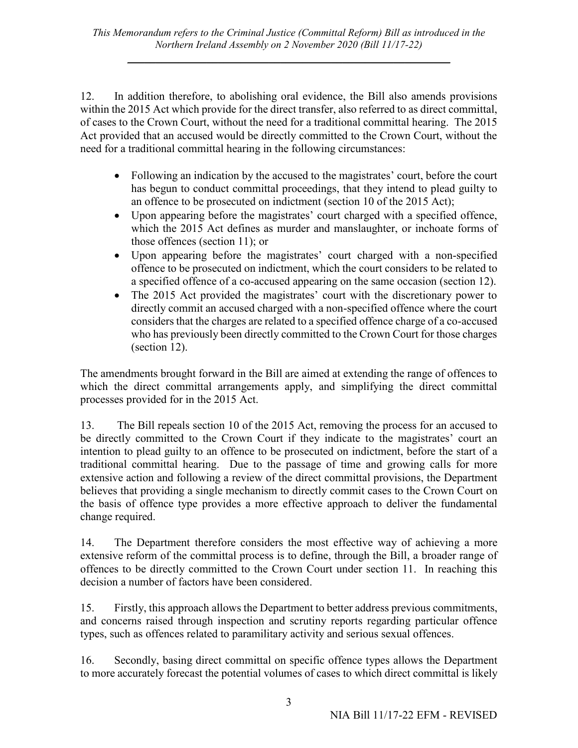12. In addition therefore, to abolishing oral evidence, the Bill also amends provisions within the 2015 Act which provide for the direct transfer, also referred to as direct committal, of cases to the Crown Court, without the need for a traditional committal hearing. The 2015 Act provided that an accused would be directly committed to the Crown Court, without the need for a traditional committal hearing in the following circumstances:

- Following an indication by the accused to the magistrates' court, before the court has begun to conduct committal proceedings, that they intend to plead guilty to an offence to be prosecuted on indictment (section 10 of the 2015 Act);
- Upon appearing before the magistrates' court charged with a specified offence, which the 2015 Act defines as murder and manslaughter, or inchoate forms of those offences (section 11); or
- Upon appearing before the magistrates' court charged with a non-specified offence to be prosecuted on indictment, which the court considers to be related to a specified offence of a co-accused appearing on the same occasion (section 12).
- The 2015 Act provided the magistrates' court with the discretionary power to directly commit an accused charged with a non-specified offence where the court considers that the charges are related to a specified offence charge of a co-accused who has previously been directly committed to the Crown Court for those charges (section 12).

The amendments brought forward in the Bill are aimed at extending the range of offences to which the direct committal arrangements apply, and simplifying the direct committal processes provided for in the 2015 Act.

13. The Bill repeals section 10 of the 2015 Act, removing the process for an accused to be directly committed to the Crown Court if they indicate to the magistrates' court an intention to plead guilty to an offence to be prosecuted on indictment, before the start of a traditional committal hearing. Due to the passage of time and growing calls for more extensive action and following a review of the direct committal provisions, the Department believes that providing a single mechanism to directly commit cases to the Crown Court on the basis of offence type provides a more effective approach to deliver the fundamental change required.

14. The Department therefore considers the most effective way of achieving a more extensive reform of the committal process is to define, through the Bill, a broader range of offences to be directly committed to the Crown Court under section 11. In reaching this decision a number of factors have been considered.

15. Firstly, this approach allows the Department to better address previous commitments, and concerns raised through inspection and scrutiny reports regarding particular offence types, such as offences related to paramilitary activity and serious sexual offences.

16. Secondly, basing direct committal on specific offence types allows the Department to more accurately forecast the potential volumes of cases to which direct committal is likely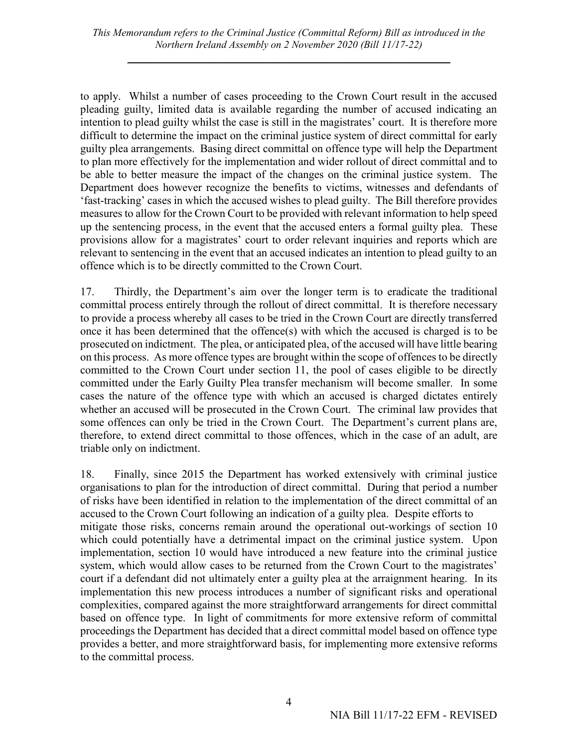to apply. Whilst a number of cases proceeding to the Crown Court result in the accused pleading guilty, limited data is available regarding the number of accused indicating an intention to plead guilty whilst the case is still in the magistrates' court. It is therefore more difficult to determine the impact on the criminal justice system of direct committal for early guilty plea arrangements. Basing direct committal on offence type will help the Department to plan more effectively for the implementation and wider rollout of direct committal and to be able to better measure the impact of the changes on the criminal justice system. The Department does however recognize the benefits to victims, witnesses and defendants of 'fast-tracking' cases in which the accused wishes to plead guilty. The Bill therefore provides measures to allow for the Crown Court to be provided with relevant information to help speed up the sentencing process, in the event that the accused enters a formal guilty plea. These provisions allow for a magistrates' court to order relevant inquiries and reports which are relevant to sentencing in the event that an accused indicates an intention to plead guilty to an offence which is to be directly committed to the Crown Court.

17. Thirdly, the Department's aim over the longer term is to eradicate the traditional committal process entirely through the rollout of direct committal. It is therefore necessary to provide a process whereby all cases to be tried in the Crown Court are directly transferred once it has been determined that the offence(s) with which the accused is charged is to be prosecuted on indictment. The plea, or anticipated plea, of the accused will have little bearing on this process. As more offence types are brought within the scope of offences to be directly committed to the Crown Court under section 11, the pool of cases eligible to be directly committed under the Early Guilty Plea transfer mechanism will become smaller. In some cases the nature of the offence type with which an accused is charged dictates entirely whether an accused will be prosecuted in the Crown Court. The criminal law provides that some offences can only be tried in the Crown Court. The Department's current plans are, therefore, to extend direct committal to those offences, which in the case of an adult, are triable only on indictment.

18. Finally, since 2015 the Department has worked extensively with criminal justice organisations to plan for the introduction of direct committal. During that period a number of risks have been identified in relation to the implementation of the direct committal of an accused to the Crown Court following an indication of a guilty plea. Despite efforts to mitigate those risks, concerns remain around the operational out-workings of section 10 which could potentially have a detrimental impact on the criminal justice system. Upon implementation, section 10 would have introduced a new feature into the criminal justice system, which would allow cases to be returned from the Crown Court to the magistrates' court if a defendant did not ultimately enter a guilty plea at the arraignment hearing. In its implementation this new process introduces a number of significant risks and operational complexities, compared against the more straightforward arrangements for direct committal based on offence type. In light of commitments for more extensive reform of committal proceedings the Department has decided that a direct committal model based on offence type provides a better, and more straightforward basis, for implementing more extensive reforms to the committal process.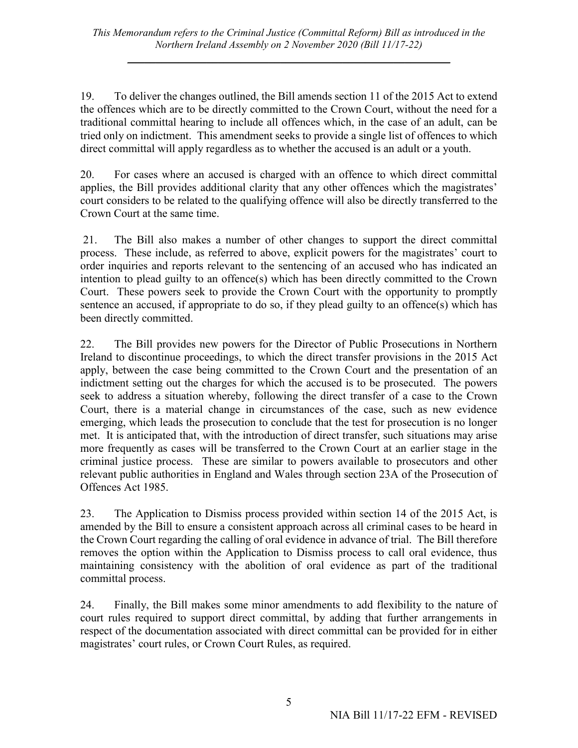19. To deliver the changes outlined, the Bill amends section 11 of the 2015 Act to extend the offences which are to be directly committed to the Crown Court, without the need for a traditional committal hearing to include all offences which, in the case of an adult, can be tried only on indictment. This amendment seeks to provide a single list of offences to which direct committal will apply regardless as to whether the accused is an adult or a youth.

20. For cases where an accused is charged with an offence to which direct committal applies, the Bill provides additional clarity that any other offences which the magistrates' court considers to be related to the qualifying offence will also be directly transferred to the Crown Court at the same time.

21. The Bill also makes a number of other changes to support the direct committal process. These include, as referred to above, explicit powers for the magistrates' court to order inquiries and reports relevant to the sentencing of an accused who has indicated an intention to plead guilty to an offence(s) which has been directly committed to the Crown Court. These powers seek to provide the Crown Court with the opportunity to promptly sentence an accused, if appropriate to do so, if they plead guilty to an offence(s) which has been directly committed.

22. The Bill provides new powers for the Director of Public Prosecutions in Northern Ireland to discontinue proceedings, to which the direct transfer provisions in the 2015 Act apply, between the case being committed to the Crown Court and the presentation of an indictment setting out the charges for which the accused is to be prosecuted. The powers seek to address a situation whereby, following the direct transfer of a case to the Crown Court, there is a material change in circumstances of the case, such as new evidence emerging, which leads the prosecution to conclude that the test for prosecution is no longer met. It is anticipated that, with the introduction of direct transfer, such situations may arise more frequently as cases will be transferred to the Crown Court at an earlier stage in the criminal justice process. These are similar to powers available to prosecutors and other relevant public authorities in England and Wales through section 23A of the Prosecution of Offences Act 1985.

23. The Application to Dismiss process provided within section 14 of the 2015 Act, is amended by the Bill to ensure a consistent approach across all criminal cases to be heard in the Crown Court regarding the calling of oral evidence in advance of trial. The Bill therefore removes the option within the Application to Dismiss process to call oral evidence, thus maintaining consistency with the abolition of oral evidence as part of the traditional committal process.

24. Finally, the Bill makes some minor amendments to add flexibility to the nature of court rules required to support direct committal, by adding that further arrangements in respect of the documentation associated with direct committal can be provided for in either magistrates' court rules, or Crown Court Rules, as required.

5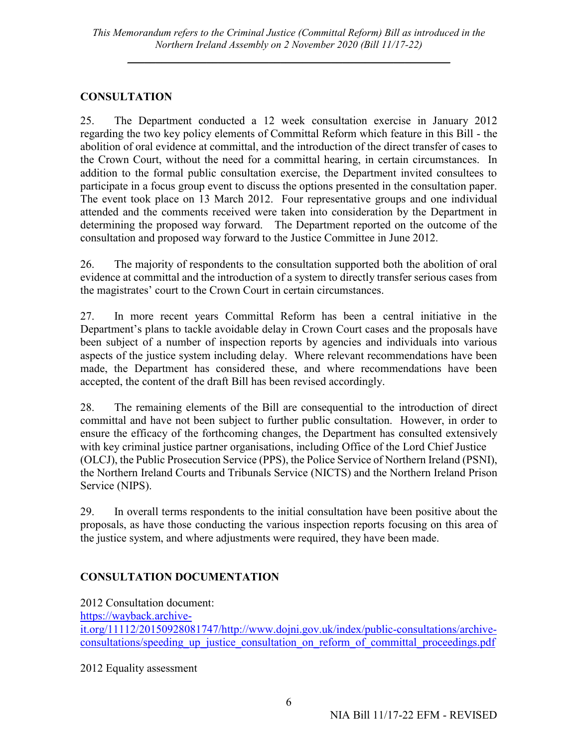#### **CONSULTATION**

25. The Department conducted a 12 week consultation exercise in January 2012 regarding the two key policy elements of Committal Reform which feature in this Bill - the abolition of oral evidence at committal, and the introduction of the direct transfer of cases to the Crown Court, without the need for a committal hearing, in certain circumstances. In addition to the formal public consultation exercise, the Department invited consultees to participate in a focus group event to discuss the options presented in the consultation paper. The event took place on 13 March 2012. Four representative groups and one individual attended and the comments received were taken into consideration by the Department in determining the proposed way forward. The Department reported on the outcome of the consultation and proposed way forward to the Justice Committee in June 2012.

26. The majority of respondents to the consultation supported both the abolition of oral evidence at committal and the introduction of a system to directly transfer serious cases from the magistrates' court to the Crown Court in certain circumstances.

27. In more recent years Committal Reform has been a central initiative in the Department's plans to tackle avoidable delay in Crown Court cases and the proposals have been subject of a number of inspection reports by agencies and individuals into various aspects of the justice system including delay. Where relevant recommendations have been made, the Department has considered these, and where recommendations have been accepted, the content of the draft Bill has been revised accordingly.

28. The remaining elements of the Bill are consequential to the introduction of direct committal and have not been subject to further public consultation. However, in order to ensure the efficacy of the forthcoming changes, the Department has consulted extensively with key criminal justice partner organisations, including Office of the Lord Chief Justice (OLCJ), the Public Prosecution Service (PPS), the Police Service of Northern Ireland (PSNI), the Northern Ireland Courts and Tribunals Service (NICTS) and the Northern Ireland Prison Service (NIPS).

29. In overall terms respondents to the initial consultation have been positive about the proposals, as have those conducting the various inspection reports focusing on this area of the justice system, and where adjustments were required, they have been made.

## **CONSULTATION DOCUMENTATION**

2012 Consultation document: [https://wayback.archive](https://wayback.archive-it.org/11112/20150928081747/http:/www.dojni.gov.uk/index/public-consultations/archive-consultations/speeding_up_justice_consultation_on_reform_of_committal_proceedings.pdf)[it.org/11112/20150928081747/http://www.dojni.gov.uk/index/public-consultations/archive](https://wayback.archive-it.org/11112/20150928081747/http:/www.dojni.gov.uk/index/public-consultations/archive-consultations/speeding_up_justice_consultation_on_reform_of_committal_proceedings.pdf)consultations/speeding up justice consultation on reform of committal proceedings.pdf

2012 Equality assessment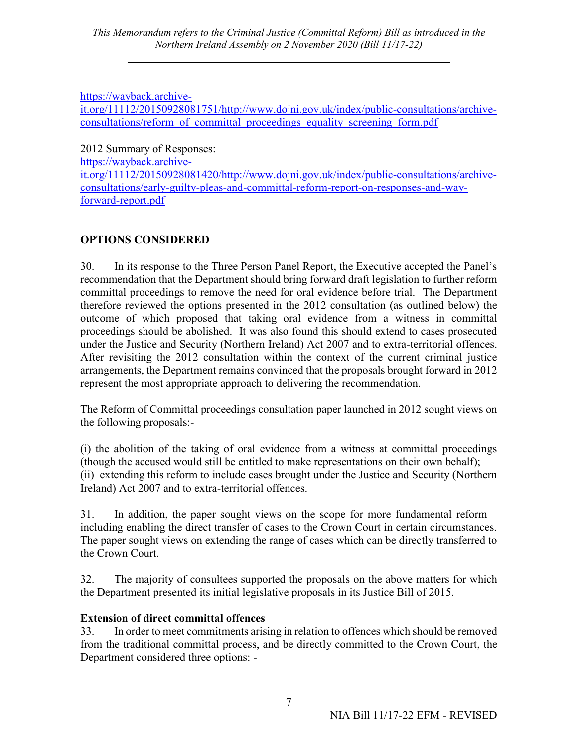#### [https://wayback.archive-](https://wayback.archive-it.org/11112/20150928081751/http:/www.dojni.gov.uk/index/public-consultations/archive-consultations/reform_of_committal_proceedings_equality_screening_form.pdf)

[it.org/11112/20150928081751/http://www.dojni.gov.uk/index/public-consultations/archive](https://wayback.archive-it.org/11112/20150928081751/http:/www.dojni.gov.uk/index/public-consultations/archive-consultations/reform_of_committal_proceedings_equality_screening_form.pdf)[consultations/reform\\_of\\_committal\\_proceedings\\_equality\\_screening\\_form.pdf](https://wayback.archive-it.org/11112/20150928081751/http:/www.dojni.gov.uk/index/public-consultations/archive-consultations/reform_of_committal_proceedings_equality_screening_form.pdf)

2012 Summary of Responses:

[https://wayback.archive-](https://wayback.archive-it.org/11112/20150928081420/http:/www.dojni.gov.uk/index/public-consultations/archive-consultations/early-guilty-pleas-and-committal-reform-report-on-responses-and-way-forward-report.pdf)

[it.org/11112/20150928081420/http://www.dojni.gov.uk/index/public-consultations/archive](https://wayback.archive-it.org/11112/20150928081420/http:/www.dojni.gov.uk/index/public-consultations/archive-consultations/early-guilty-pleas-and-committal-reform-report-on-responses-and-way-forward-report.pdf)[consultations/early-guilty-pleas-and-committal-reform-report-on-responses-and-way](https://wayback.archive-it.org/11112/20150928081420/http:/www.dojni.gov.uk/index/public-consultations/archive-consultations/early-guilty-pleas-and-committal-reform-report-on-responses-and-way-forward-report.pdf)[forward-report.pdf](https://wayback.archive-it.org/11112/20150928081420/http:/www.dojni.gov.uk/index/public-consultations/archive-consultations/early-guilty-pleas-and-committal-reform-report-on-responses-and-way-forward-report.pdf)

# **OPTIONS CONSIDERED**

30. In its response to the Three Person Panel Report, the Executive accepted the Panel's recommendation that the Department should bring forward draft legislation to further reform committal proceedings to remove the need for oral evidence before trial. The Department therefore reviewed the options presented in the 2012 consultation (as outlined below) the outcome of which proposed that taking oral evidence from a witness in committal proceedings should be abolished. It was also found this should extend to cases prosecuted under the Justice and Security (Northern Ireland) Act 2007 and to extra-territorial offences. After revisiting the 2012 consultation within the context of the current criminal justice arrangements, the Department remains convinced that the proposals brought forward in 2012 represent the most appropriate approach to delivering the recommendation.

The Reform of Committal proceedings consultation paper launched in 2012 sought views on the following proposals:-

(i) the abolition of the taking of oral evidence from a witness at committal proceedings (though the accused would still be entitled to make representations on their own behalf); (ii) extending this reform to include cases brought under the Justice and Security (Northern Ireland) Act 2007 and to extra-territorial offences.

31. In addition, the paper sought views on the scope for more fundamental reform – including enabling the direct transfer of cases to the Crown Court in certain circumstances. The paper sought views on extending the range of cases which can be directly transferred to the Crown Court.

32. The majority of consultees supported the proposals on the above matters for which the Department presented its initial legislative proposals in its Justice Bill of 2015.

# **Extension of direct committal offences**

33. In order to meet commitments arising in relation to offences which should be removed from the traditional committal process, and be directly committed to the Crown Court, the Department considered three options: -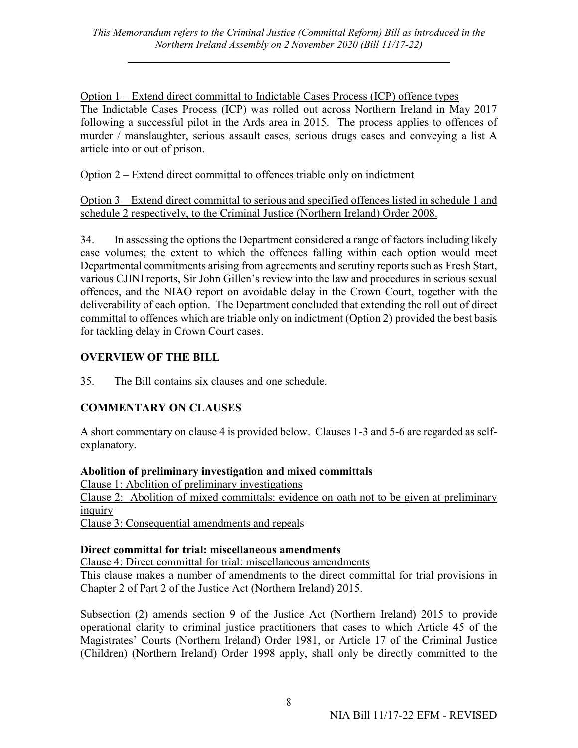Option 1 – Extend direct committal to Indictable Cases Process (ICP) offence types The Indictable Cases Process (ICP) was rolled out across Northern Ireland in May 2017 following a successful pilot in the Ards area in 2015. The process applies to offences of murder / manslaughter, serious assault cases, serious drugs cases and conveying a list A article into or out of prison.

Option 2 – Extend direct committal to offences triable only on indictment

Option 3 – Extend direct committal to serious and specified offences listed in schedule 1 and schedule 2 respectively, to the Criminal Justice (Northern Ireland) Order 2008.

34. In assessing the options the Department considered a range of factors including likely case volumes; the extent to which the offences falling within each option would meet Departmental commitments arising from agreements and scrutiny reports such as Fresh Start, various CJINI reports, Sir John Gillen's review into the law and procedures in serious sexual offences, and the NIAO report on avoidable delay in the Crown Court, together with the deliverability of each option. The Department concluded that extending the roll out of direct committal to offences which are triable only on indictment (Option 2) provided the best basis for tackling delay in Crown Court cases.

# **OVERVIEW OF THE BILL**

35. The Bill contains six clauses and one schedule.

# **COMMENTARY ON CLAUSES**

A short commentary on clause 4 is provided below. Clauses 1-3 and 5-6 are regarded as selfexplanatory.

## **Abolition of preliminary investigation and mixed committals**

Clause 1: Abolition of preliminary investigations

Clause 2: Abolition of mixed committals: evidence on oath not to be given at preliminary inquiry

Clause 3: Consequential amendments and repeals

## **Direct committal for trial: miscellaneous amendments**

Clause 4: Direct committal for trial: miscellaneous amendments

This clause makes a number of amendments to the direct committal for trial provisions in Chapter 2 of Part 2 of the Justice Act (Northern Ireland) 2015.

Subsection (2) amends section 9 of the Justice Act (Northern Ireland) 2015 to provide operational clarity to criminal justice practitioners that cases to which Article 45 of the Magistrates' Courts (Northern Ireland) Order 1981, or Article 17 of the Criminal Justice (Children) (Northern Ireland) Order 1998 apply, shall only be directly committed to the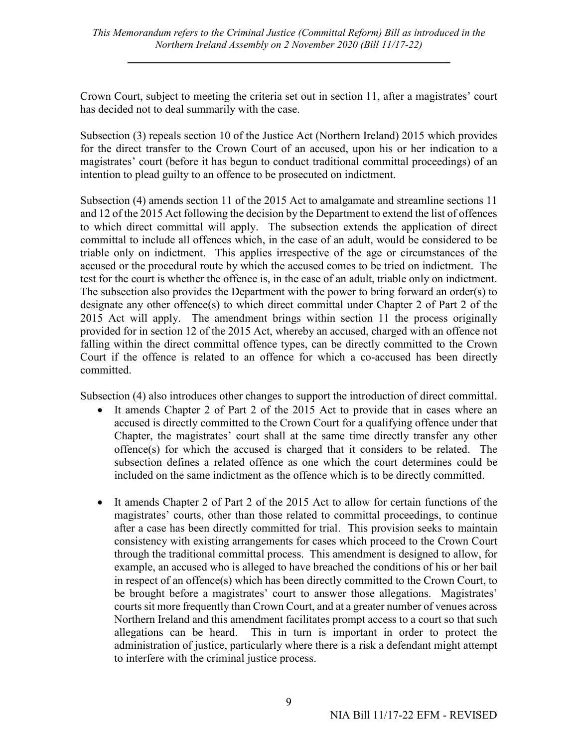Crown Court, subject to meeting the criteria set out in section 11, after a magistrates' court has decided not to deal summarily with the case.

Subsection (3) repeals section 10 of the Justice Act (Northern Ireland) 2015 which provides for the direct transfer to the Crown Court of an accused, upon his or her indication to a magistrates' court (before it has begun to conduct traditional committal proceedings) of an intention to plead guilty to an offence to be prosecuted on indictment.

Subsection (4) amends section 11 of the 2015 Act to amalgamate and streamline sections 11 and 12 of the 2015 Act following the decision by the Department to extend the list of offences to which direct committal will apply. The subsection extends the application of direct committal to include all offences which, in the case of an adult, would be considered to be triable only on indictment. This applies irrespective of the age or circumstances of the accused or the procedural route by which the accused comes to be tried on indictment. The test for the court is whether the offence is, in the case of an adult, triable only on indictment. The subsection also provides the Department with the power to bring forward an order(s) to designate any other offence(s) to which direct committal under Chapter 2 of Part 2 of the 2015 Act will apply. The amendment brings within section 11 the process originally provided for in section 12 of the 2015 Act, whereby an accused, charged with an offence not falling within the direct committal offence types, can be directly committed to the Crown Court if the offence is related to an offence for which a co-accused has been directly committed.

Subsection (4) also introduces other changes to support the introduction of direct committal.

- It amends Chapter 2 of Part 2 of the 2015 Act to provide that in cases where an accused is directly committed to the Crown Court for a qualifying offence under that Chapter, the magistrates' court shall at the same time directly transfer any other offence(s) for which the accused is charged that it considers to be related. The subsection defines a related offence as one which the court determines could be included on the same indictment as the offence which is to be directly committed.
- It amends Chapter 2 of Part 2 of the 2015 Act to allow for certain functions of the magistrates' courts, other than those related to committal proceedings, to continue after a case has been directly committed for trial. This provision seeks to maintain consistency with existing arrangements for cases which proceed to the Crown Court through the traditional committal process. This amendment is designed to allow, for example, an accused who is alleged to have breached the conditions of his or her bail in respect of an offence(s) which has been directly committed to the Crown Court, to be brought before a magistrates' court to answer those allegations. Magistrates' courts sit more frequently than Crown Court, and at a greater number of venues across Northern Ireland and this amendment facilitates prompt access to a court so that such allegations can be heard. This in turn is important in order to protect the administration of justice, particularly where there is a risk a defendant might attempt to interfere with the criminal justice process.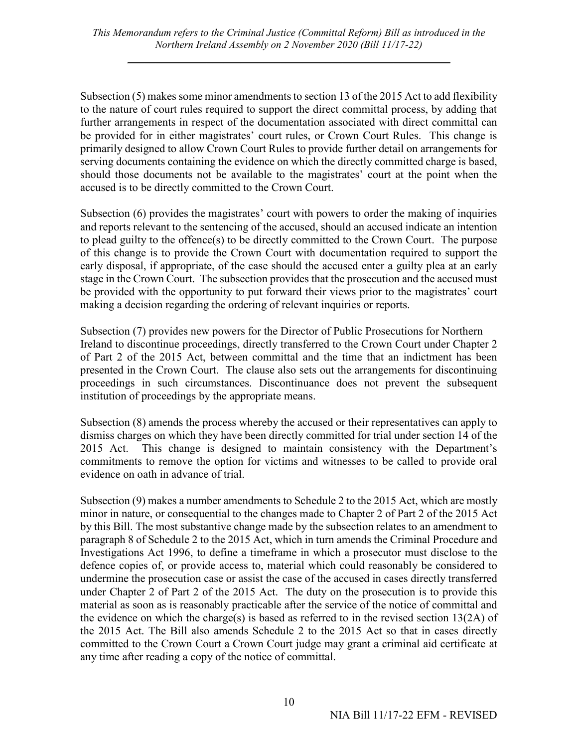Subsection (5) makes some minor amendments to section 13 of the 2015 Act to add flexibility to the nature of court rules required to support the direct committal process, by adding that further arrangements in respect of the documentation associated with direct committal can be provided for in either magistrates' court rules, or Crown Court Rules. This change is primarily designed to allow Crown Court Rules to provide further detail on arrangements for serving documents containing the evidence on which the directly committed charge is based, should those documents not be available to the magistrates' court at the point when the accused is to be directly committed to the Crown Court.

Subsection (6) provides the magistrates' court with powers to order the making of inquiries and reports relevant to the sentencing of the accused, should an accused indicate an intention to plead guilty to the offence(s) to be directly committed to the Crown Court. The purpose of this change is to provide the Crown Court with documentation required to support the early disposal, if appropriate, of the case should the accused enter a guilty plea at an early stage in the Crown Court. The subsection provides that the prosecution and the accused must be provided with the opportunity to put forward their views prior to the magistrates' court making a decision regarding the ordering of relevant inquiries or reports.

Subsection (7) provides new powers for the Director of Public Prosecutions for Northern Ireland to discontinue proceedings, directly transferred to the Crown Court under Chapter 2 of Part 2 of the 2015 Act, between committal and the time that an indictment has been presented in the Crown Court. The clause also sets out the arrangements for discontinuing proceedings in such circumstances. Discontinuance does not prevent the subsequent institution of proceedings by the appropriate means.

Subsection (8) amends the process whereby the accused or their representatives can apply to dismiss charges on which they have been directly committed for trial under section 14 of the 2015 Act. This change is designed to maintain consistency with the Department's commitments to remove the option for victims and witnesses to be called to provide oral evidence on oath in advance of trial.

Subsection (9) makes a number amendments to Schedule 2 to the 2015 Act, which are mostly minor in nature, or consequential to the changes made to Chapter 2 of Part 2 of the 2015 Act by this Bill. The most substantive change made by the subsection relates to an amendment to paragraph 8 of Schedule 2 to the 2015 Act, which in turn amends the Criminal Procedure and Investigations Act 1996, to define a timeframe in which a prosecutor must disclose to the defence copies of, or provide access to, material which could reasonably be considered to undermine the prosecution case or assist the case of the accused in cases directly transferred under Chapter 2 of Part 2 of the 2015 Act. The duty on the prosecution is to provide this material as soon as is reasonably practicable after the service of the notice of committal and the evidence on which the charge(s) is based as referred to in the revised section  $13(2A)$  of the 2015 Act. The Bill also amends Schedule 2 to the 2015 Act so that in cases directly committed to the Crown Court a Crown Court judge may grant a criminal aid certificate at any time after reading a copy of the notice of committal.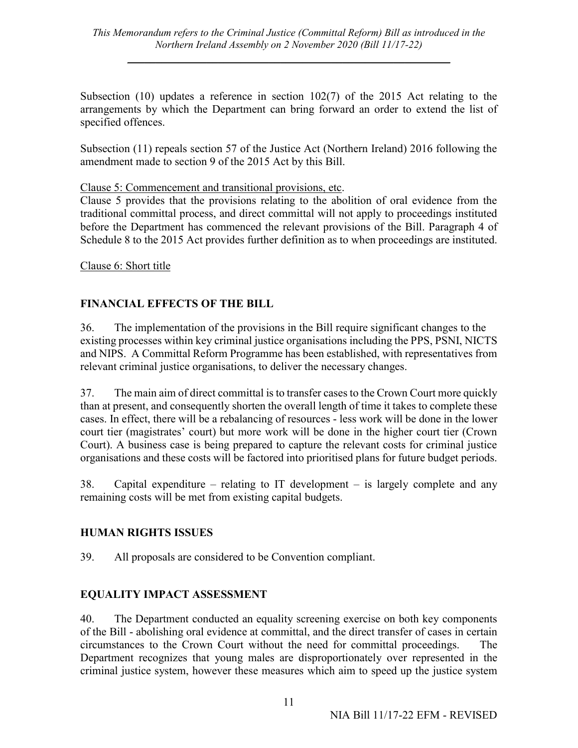Subsection (10) updates a reference in section 102(7) of the 2015 Act relating to the arrangements by which the Department can bring forward an order to extend the list of specified offences.

Subsection (11) repeals section 57 of the Justice Act (Northern Ireland) 2016 following the amendment made to section 9 of the 2015 Act by this Bill.

Clause 5: Commencement and transitional provisions, etc.

Clause 5 provides that the provisions relating to the abolition of oral evidence from the traditional committal process, and direct committal will not apply to proceedings instituted before the Department has commenced the relevant provisions of the Bill. Paragraph 4 of Schedule 8 to the 2015 Act provides further definition as to when proceedings are instituted.

Clause 6: Short title

#### **FINANCIAL EFFECTS OF THE BILL**

36. The implementation of the provisions in the Bill require significant changes to the existing processes within key criminal justice organisations including the PPS, PSNI, NICTS and NIPS. A Committal Reform Programme has been established, with representatives from relevant criminal justice organisations, to deliver the necessary changes.

37. The main aim of direct committal is to transfer cases to the Crown Court more quickly than at present, and consequently shorten the overall length of time it takes to complete these cases. In effect, there will be a rebalancing of resources - less work will be done in the lower court tier (magistrates' court) but more work will be done in the higher court tier (Crown Court). A business case is being prepared to capture the relevant costs for criminal justice organisations and these costs will be factored into prioritised plans for future budget periods.

38. Capital expenditure – relating to IT development – is largely complete and any remaining costs will be met from existing capital budgets.

#### **HUMAN RIGHTS ISSUES**

39. All proposals are considered to be Convention compliant.

#### **EQUALITY IMPACT ASSESSMENT**

40. The Department conducted an equality screening exercise on both key components of the Bill - abolishing oral evidence at committal, and the direct transfer of cases in certain circumstances to the Crown Court without the need for committal proceedings. The Department recognizes that young males are disproportionately over represented in the criminal justice system, however these measures which aim to speed up the justice system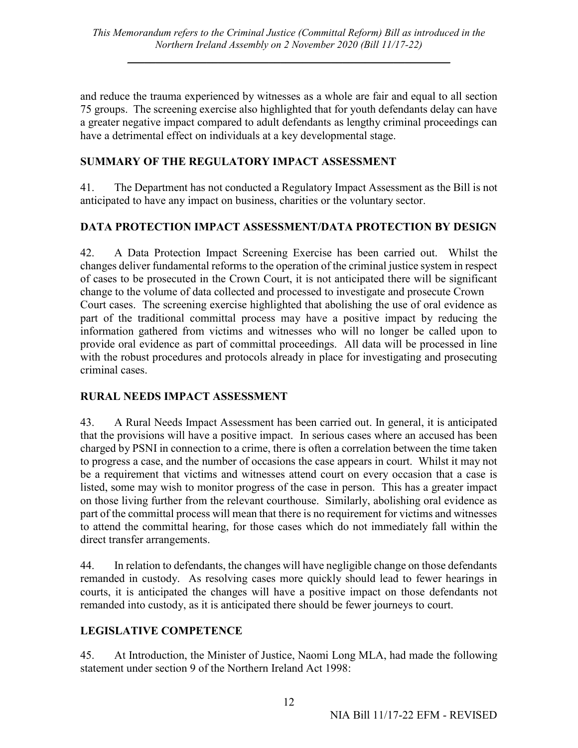and reduce the trauma experienced by witnesses as a whole are fair and equal to all section 75 groups. The screening exercise also highlighted that for youth defendants delay can have a greater negative impact compared to adult defendants as lengthy criminal proceedings can have a detrimental effect on individuals at a key developmental stage.

#### **SUMMARY OF THE REGULATORY IMPACT ASSESSMENT**

41. The Department has not conducted a Regulatory Impact Assessment as the Bill is not anticipated to have any impact on business, charities or the voluntary sector.

#### **DATA PROTECTION IMPACT ASSESSMENT/DATA PROTECTION BY DESIGN**

42. A Data Protection Impact Screening Exercise has been carried out. Whilst the changes deliver fundamental reforms to the operation of the criminal justice system in respect of cases to be prosecuted in the Crown Court, it is not anticipated there will be significant change to the volume of data collected and processed to investigate and prosecute Crown Court cases. The screening exercise highlighted that abolishing the use of oral evidence as part of the traditional committal process may have a positive impact by reducing the information gathered from victims and witnesses who will no longer be called upon to provide oral evidence as part of committal proceedings. All data will be processed in line with the robust procedures and protocols already in place for investigating and prosecuting criminal cases.

#### **RURAL NEEDS IMPACT ASSESSMENT**

43. A Rural Needs Impact Assessment has been carried out. In general, it is anticipated that the provisions will have a positive impact. In serious cases where an accused has been charged by PSNI in connection to a crime, there is often a correlation between the time taken to progress a case, and the number of occasions the case appears in court. Whilst it may not be a requirement that victims and witnesses attend court on every occasion that a case is listed, some may wish to monitor progress of the case in person. This has a greater impact on those living further from the relevant courthouse. Similarly, abolishing oral evidence as part of the committal process will mean that there is no requirement for victims and witnesses to attend the committal hearing, for those cases which do not immediately fall within the direct transfer arrangements.

44. In relation to defendants, the changes will have negligible change on those defendants remanded in custody. As resolving cases more quickly should lead to fewer hearings in courts, it is anticipated the changes will have a positive impact on those defendants not remanded into custody, as it is anticipated there should be fewer journeys to court.

## **LEGISLATIVE COMPETENCE**

45. At Introduction, the Minister of Justice, Naomi Long MLA, had made the following statement under section 9 of the Northern Ireland Act 1998: